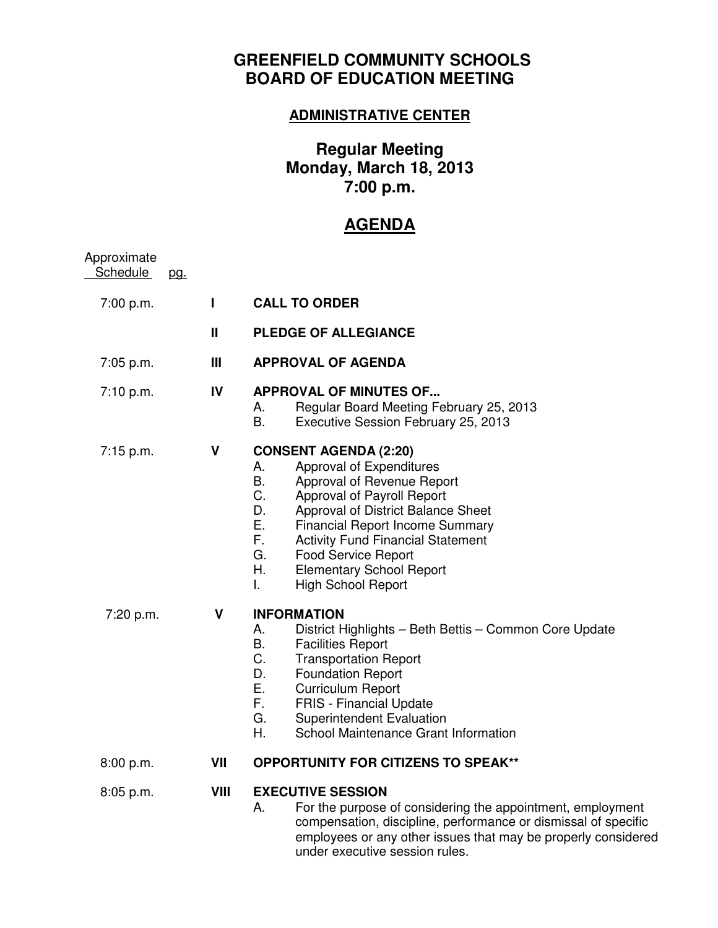## **GREENFIELD COMMUNITY SCHOOLS BOARD OF EDUCATION MEETING**

## **ADMINISTRATIVE CENTER**

## **Regular Meeting Monday, March 18, 2013 7:00 p.m.**

## **AGENDA**

| Approximate<br>Schedule | pg. |      |                                                                                                                                                                                                                                                                                                                                                                                                             |
|-------------------------|-----|------|-------------------------------------------------------------------------------------------------------------------------------------------------------------------------------------------------------------------------------------------------------------------------------------------------------------------------------------------------------------------------------------------------------------|
| 7:00 p.m.               |     | L    | <b>CALL TO ORDER</b>                                                                                                                                                                                                                                                                                                                                                                                        |
|                         |     | Ш    | <b>PLEDGE OF ALLEGIANCE</b>                                                                                                                                                                                                                                                                                                                                                                                 |
| 7:05 p.m.               |     | Ш    | <b>APPROVAL OF AGENDA</b>                                                                                                                                                                                                                                                                                                                                                                                   |
| 7:10 p.m.               |     | IV   | <b>APPROVAL OF MINUTES OF</b><br>Regular Board Meeting February 25, 2013<br>А.<br><b>B.</b><br>Executive Session February 25, 2013                                                                                                                                                                                                                                                                          |
| 7:15 p.m.               |     | V    | <b>CONSENT AGENDA (2:20)</b><br>А.<br>Approval of Expenditures<br><b>B.</b><br>Approval of Revenue Report<br>C.<br>Approval of Payroll Report<br>D.<br>Approval of District Balance Sheet<br>Ε.<br><b>Financial Report Income Summary</b><br>F.<br><b>Activity Fund Financial Statement</b><br>G.<br><b>Food Service Report</b><br>Η.<br><b>Elementary School Report</b><br><b>High School Report</b><br>L. |
| 7:20 p.m.               |     | V    | <b>INFORMATION</b><br>District Highlights - Beth Bettis - Common Core Update<br>А.<br>B.<br><b>Facilities Report</b><br>C.<br><b>Transportation Report</b><br>D.<br><b>Foundation Report</b><br>Ε.<br><b>Curriculum Report</b><br>F.<br><b>FRIS - Financial Update</b><br>G.<br><b>Superintendent Evaluation</b><br>School Maintenance Grant Information<br>Η.                                              |
| 8:00 p.m.               |     | VII  | <b>OPPORTUNITY FOR CITIZENS TO SPEAK**</b>                                                                                                                                                                                                                                                                                                                                                                  |
| 8:05 p.m.               |     | VIII | <b>EXECUTIVE SESSION</b><br>Α.<br>For the purpose of considering the appointment, employment<br>compensation, discipline, performance or dismissal of specific<br>employees or any other issues that may be properly considered<br>under executive session rules.                                                                                                                                           |